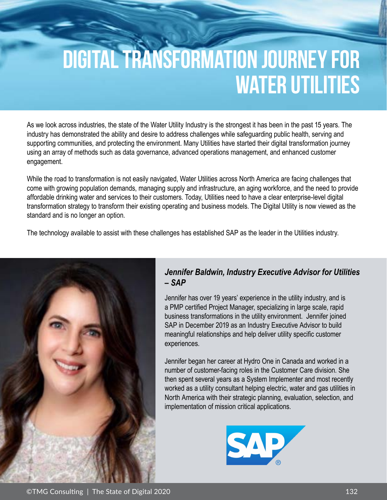# **DIGITAL TRANSFORMATION JOURNEY FOR WATER UTILITIES**

As we look across industries, the state of the Water Utility Industry is the strongest it has been in the past 15 years. The industry has demonstrated the ability and desire to address challenges while safeguarding public health, serving and supporting communities, and protecting the environment. Many Utilities have started their digital transformation journey using an array of methods such as data governance, advanced operations management, and enhanced customer engagement.

While the road to transformation is not easily navigated, Water Utilities across North America are facing challenges that come with growing population demands, managing supply and infrastructure, an aging workforce, and the need to provide affordable drinking water and services to their customers. Today, Utilities need to have a clear enterprise-level digital transformation strategy to transform their existing operating and business models. The Digital Utility is now viewed as the standard and is no longer an option.

The technology available to assist with these challenges has established SAP as the leader in the Utilities industry.



#### *Jennifer Baldwin, Industry Executive Advisor for Utilities – SAP*

Jennifer has over 19 years' experience in the utility industry, and is a PMP certified Project Manager, specializing in large scale, rapid business transformations in the utility environment. Jennifer joined SAP in December 2019 as an Industry Executive Advisor to build meaningful relationships and help deliver utility specific customer experiences.

Jennifer began her career at Hydro One in Canada and worked in a number of customer-facing roles in the Customer Care division. She then spent several years as a System Implementer and most recently worked as a utility consultant helping electric, water and gas utilities in North America with their strategic planning, evaluation, selection, and implementation of mission critical applications.



©TMG Consulting | The State of Digital 2020 132